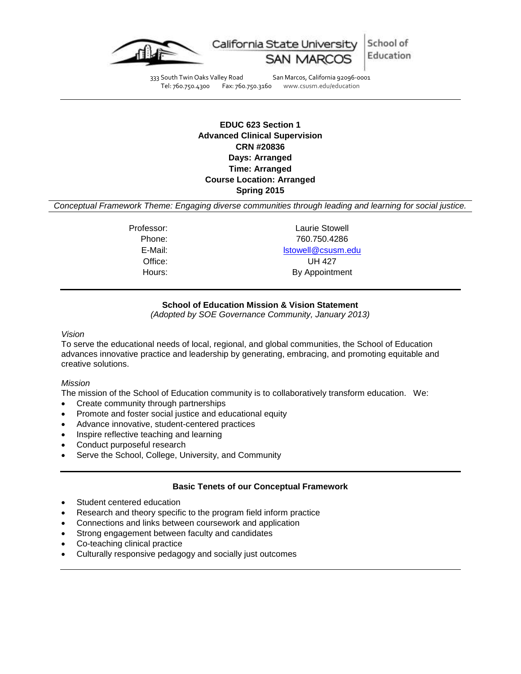

School of California State University Education

333 South Twin Oaks Valley Road San Marcos, California 92096-0001<br>Tel: 760.750.4300 Fax: 760.750.3160 www.csusm.edu/education

www.csusm.edu/education

# **EDUC 623 Section 1 Advanced Clinical Supervision CRN #20836 Days: Arranged Time: Arranged Course Location: Arranged Spring 2015**

*Conceptual Framework Theme: Engaging diverse communities through leading and learning for social justice.*

Professor: Laurie Stowell Phone: 760.750.4286 E-Mail: [lstowell@csusm.edu](mailto:lstowell@csusm.edu) Office: UH 427 Hours: By Appointment

## **School of Education Mission & Vision Statement**

*(Adopted by SOE Governance Community, January 2013)*

#### *Vision*

To serve the educational needs of local, regional, and global communities, the School of Education advances innovative practice and leadership by generating, embracing, and promoting equitable and creative solutions.

#### *Mission*

The mission of the School of Education community is to collaboratively transform education. We:

- Create community through partnerships
- Promote and foster social justice and educational equity
- Advance innovative, student-centered practices
- Inspire reflective teaching and learning
- Conduct purposeful research
- Serve the School, College, University, and Community

#### **Basic Tenets of our Conceptual Framework**

- Student centered education
- Research and theory specific to the program field inform practice
- Connections and links between coursework and application
- Strong engagement between faculty and candidates
- Co-teaching clinical practice
- Culturally responsive pedagogy and socially just outcomes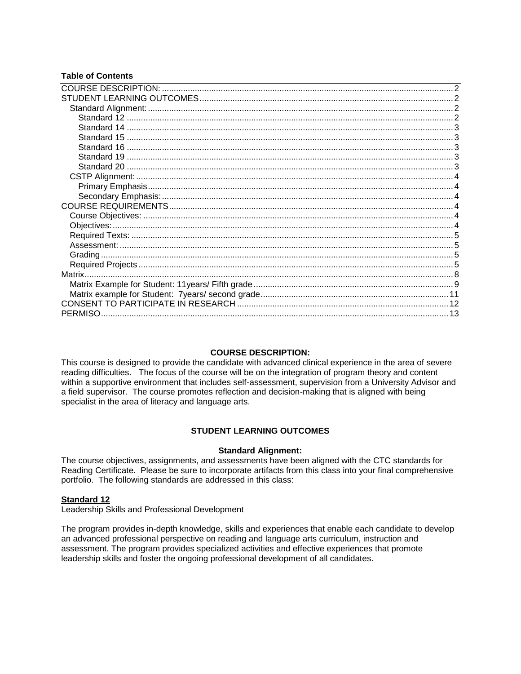# **Table of Contents**

#### **COURSE DESCRIPTION:**

<span id="page-1-0"></span>This course is designed to provide the candidate with advanced clinical experience in the area of severe reading difficulties. The focus of the course will be on the integration of program theory and content within a supportive environment that includes self-assessment, supervision from a University Advisor and a field supervisor. The course promotes reflection and decision-making that is aligned with being specialist in the area of literacy and language arts.

### **STUDENT LEARNING OUTCOMES**

#### **Standard Alignment:**

<span id="page-1-2"></span><span id="page-1-1"></span>The course objectives, assignments, and assessments have been aligned with the CTC standards for Reading Certificate. Please be sure to incorporate artifacts from this class into your final comprehensive portfolio. The following standards are addressed in this class:

#### <span id="page-1-3"></span>**Standard 12**

Leadership Skills and Professional Development

<span id="page-1-4"></span>The program provides in-depth knowledge, skills and experiences that enable each candidate to develop an advanced professional perspective on reading and language arts curriculum, instruction and assessment. The program provides specialized activities and effective experiences that promote leadership skills and foster the ongoing professional development of all candidates.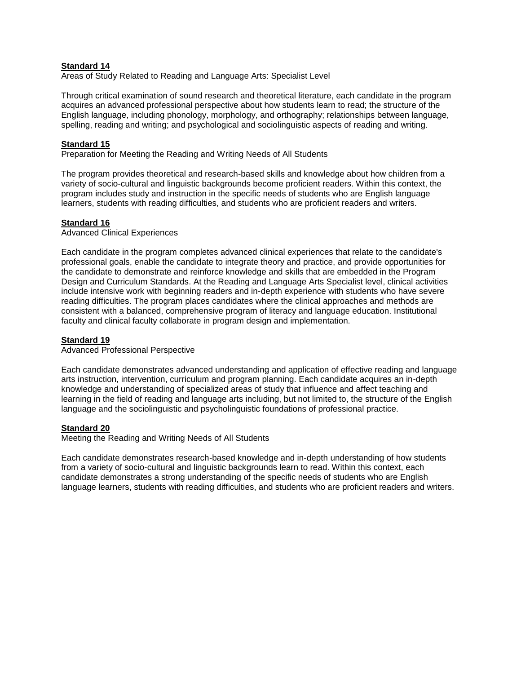## **Standard 14**

Areas of Study Related to Reading and Language Arts: Specialist Level

Through critical examination of sound research and theoretical literature, each candidate in the program acquires an advanced professional perspective about how students learn to read; the structure of the English language, including phonology, morphology, and orthography; relationships between language, spelling, reading and writing; and psychological and sociolinguistic aspects of reading and writing.

## <span id="page-2-0"></span>**Standard 15**

Preparation for Meeting the Reading and Writing Needs of All Students

The program provides theoretical and research-based skills and knowledge about how children from a variety of socio-cultural and linguistic backgrounds become proficient readers. Within this context, the program includes study and instruction in the specific needs of students who are English language learners, students with reading difficulties, and students who are proficient readers and writers.

## <span id="page-2-1"></span>**Standard 16**

Advanced Clinical Experiences

Each candidate in the program completes advanced clinical experiences that relate to the candidate's professional goals, enable the candidate to integrate theory and practice, and provide opportunities for the candidate to demonstrate and reinforce knowledge and skills that are embedded in the Program Design and Curriculum Standards. At the Reading and Language Arts Specialist level, clinical activities include intensive work with beginning readers and in-depth experience with students who have severe reading difficulties. The program places candidates where the clinical approaches and methods are consistent with a balanced, comprehensive program of literacy and language education. Institutional faculty and clinical faculty collaborate in program design and implementation.

#### <span id="page-2-2"></span>**Standard 19**

Advanced Professional Perspective

Each candidate demonstrates advanced understanding and application of effective reading and language arts instruction, intervention, curriculum and program planning. Each candidate acquires an in-depth knowledge and understanding of specialized areas of study that influence and affect teaching and learning in the field of reading and language arts including, but not limited to, the structure of the English language and the sociolinguistic and psycholinguistic foundations of professional practice.

#### <span id="page-2-3"></span>**Standard 20**

Meeting the Reading and Writing Needs of All Students

<span id="page-2-4"></span>Each candidate demonstrates research-based knowledge and in-depth understanding of how students from a variety of socio-cultural and linguistic backgrounds learn to read. Within this context, each candidate demonstrates a strong understanding of the specific needs of students who are English language learners, students with reading difficulties, and students who are proficient readers and writers.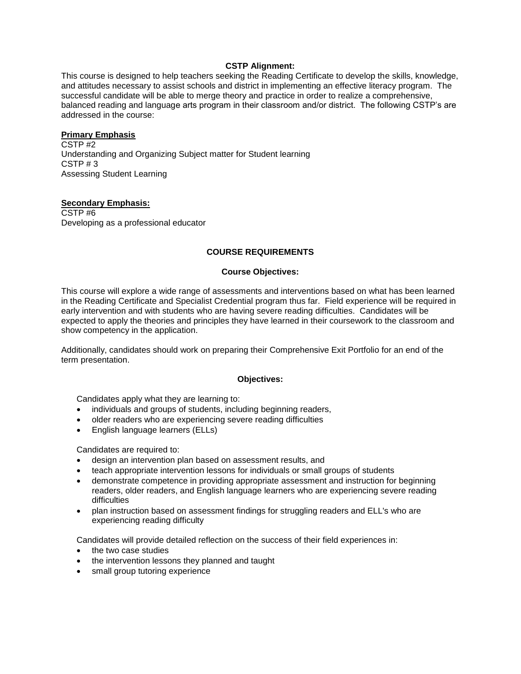### **CSTP Alignment:**

This course is designed to help teachers seeking the Reading Certificate to develop the skills, knowledge, and attitudes necessary to assist schools and district in implementing an effective literacy program. The successful candidate will be able to merge theory and practice in order to realize a comprehensive, balanced reading and language arts program in their classroom and/or district. The following CSTP's are addressed in the course:

#### <span id="page-3-0"></span>**Primary Emphasis**

CSTP $#2$ Understanding and Organizing Subject matter for Student learning CSTP # 3 Assessing Student Learning

#### <span id="page-3-1"></span>**Secondary Emphasis:**

<span id="page-3-2"></span>CSTP #6 Developing as a professional educator

### **COURSE REQUIREMENTS**

#### **Course Objectives:**

<span id="page-3-3"></span>This course will explore a wide range of assessments and interventions based on what has been learned in the Reading Certificate and Specialist Credential program thus far. Field experience will be required in early intervention and with students who are having severe reading difficulties. Candidates will be expected to apply the theories and principles they have learned in their coursework to the classroom and show competency in the application.

Additionally, candidates should work on preparing their Comprehensive Exit Portfolio for an end of the term presentation.

#### **Objectives:**

<span id="page-3-4"></span>Candidates apply what they are learning to:

- individuals and groups of students, including beginning readers,
- older readers who are experiencing severe reading difficulties
- English language learners (ELLs)

Candidates are required to:

- design an intervention plan based on assessment results, and
- teach appropriate intervention lessons for individuals or small groups of students
- demonstrate competence in providing appropriate assessment and instruction for beginning readers, older readers, and English language learners who are experiencing severe reading difficulties
- plan instruction based on assessment findings for struggling readers and ELL's who are experiencing reading difficulty

Candidates will provide detailed reflection on the success of their field experiences in:

- the two case studies
- the intervention lessons they planned and taught
- <span id="page-3-5"></span>small group tutoring experience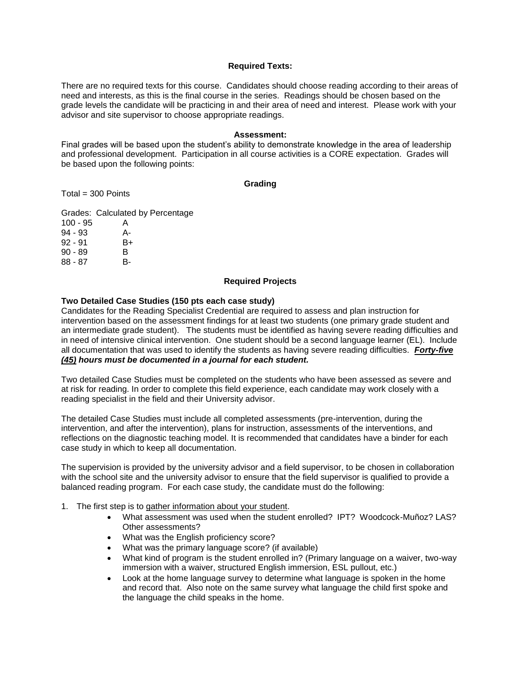#### **Required Texts:**

There are no required texts for this course. Candidates should choose reading according to their areas of need and interests, as this is the final course in the series. Readings should be chosen based on the grade levels the candidate will be practicing in and their area of need and interest. Please work with your advisor and site supervisor to choose appropriate readings.

#### **Assessment:**

<span id="page-4-0"></span>Final grades will be based upon the student's ability to demonstrate knowledge in the area of leadership and professional development. Participation in all course activities is a CORE expectation. Grades will be based upon the following points:

#### **Grading**

<span id="page-4-1"></span>Total = 300 Points

Grades: Calculated by Percentage 100 - 95 A 94 - 93 A-92 - 91 B+

90 - 89 B<br>88 - 87 B-88 - 87

#### **Required Projects**

#### <span id="page-4-2"></span>**Two Detailed Case Studies (150 pts each case study)**

Candidates for the Reading Specialist Credential are required to assess and plan instruction for intervention based on the assessment findings for at least two students (one primary grade student and an intermediate grade student). The students must be identified as having severe reading difficulties and in need of intensive clinical intervention. One student should be a second language learner (EL). Include all documentation that was used to identify the students as having severe reading difficulties. *Forty-five (45) hours must be documented in a journal for each student.*

Two detailed Case Studies must be completed on the students who have been assessed as severe and at risk for reading. In order to complete this field experience, each candidate may work closely with a reading specialist in the field and their University advisor.

The detailed Case Studies must include all completed assessments (pre-intervention, during the intervention, and after the intervention), plans for instruction, assessments of the interventions, and reflections on the diagnostic teaching model. It is recommended that candidates have a binder for each case study in which to keep all documentation.

The supervision is provided by the university advisor and a field supervisor, to be chosen in collaboration with the school site and the university advisor to ensure that the field supervisor is qualified to provide a balanced reading program. For each case study, the candidate must do the following:

- 1. The first step is to gather information about your student.
	- What assessment was used when the student enrolled? IPT? Woodcock-Muñoz? LAS? Other assessments?
	- What was the English proficiency score?
	- What was the primary language score? (if available)
	- What kind of program is the student enrolled in? (Primary language on a waiver, two-way immersion with a waiver, structured English immersion, ESL pullout, etc.)
	- Look at the home language survey to determine what language is spoken in the home and record that. Also note on the same survey what language the child first spoke and the language the child speaks in the home.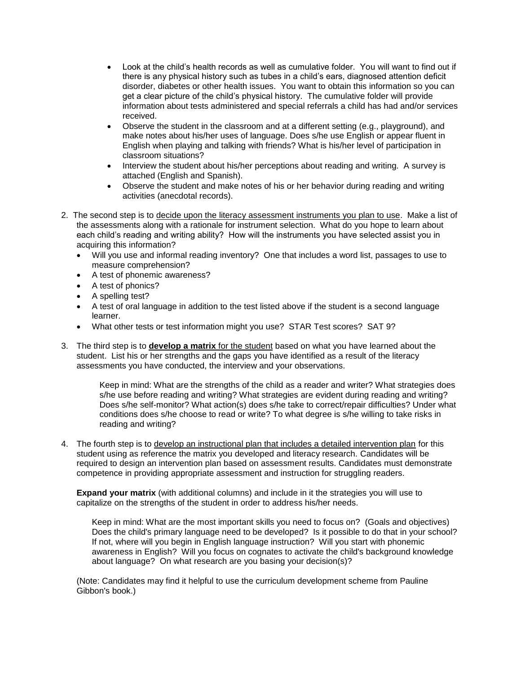- Look at the child's health records as well as cumulative folder. You will want to find out if there is any physical history such as tubes in a child's ears, diagnosed attention deficit disorder, diabetes or other health issues. You want to obtain this information so you can get a clear picture of the child's physical history. The cumulative folder will provide information about tests administered and special referrals a child has had and/or services received.
- Observe the student in the classroom and at a different setting (e.g., playground), and make notes about his/her uses of language. Does s/he use English or appear fluent in English when playing and talking with friends? What is his/her level of participation in classroom situations?
- Interview the student about his/her perceptions about reading and writing. A survey is attached (English and Spanish).
- Observe the student and make notes of his or her behavior during reading and writing activities (anecdotal records).
- 2. The second step is to decide upon the literacy assessment instruments you plan to use. Make a list of the assessments along with a rationale for instrument selection. What do you hope to learn about each child's reading and writing ability? How will the instruments you have selected assist you in acquiring this information?
	- Will you use and informal reading inventory? One that includes a word list, passages to use to measure comprehension?
	- A test of phonemic awareness?
	- A test of phonics?
	- A spelling test?
	- A test of oral language in addition to the test listed above if the student is a second language learner.
	- What other tests or test information might you use? STAR Test scores? SAT 9?
- 3. The third step is to **develop a matrix** for the student based on what you have learned about the student. List his or her strengths and the gaps you have identified as a result of the literacy assessments you have conducted, the interview and your observations.

Keep in mind: What are the strengths of the child as a reader and writer? What strategies does s/he use before reading and writing? What strategies are evident during reading and writing? Does s/he self-monitor? What action(s) does s/he take to correct/repair difficulties? Under what conditions does s/he choose to read or write? To what degree is s/he willing to take risks in reading and writing?

4. The fourth step is to develop an instructional plan that includes a detailed intervention plan for this student using as reference the matrix you developed and literacy research. Candidates will be required to design an intervention plan based on assessment results. Candidates must demonstrate competence in providing appropriate assessment and instruction for struggling readers.

**Expand your matrix** (with additional columns) and include in it the strategies you will use to capitalize on the strengths of the student in order to address his/her needs.

Keep in mind: What are the most important skills you need to focus on? (Goals and objectives) Does the child's primary language need to be developed? Is it possible to do that in your school? If not, where will you begin in English language instruction? Will you start with phonemic awareness in English? Will you focus on cognates to activate the child's background knowledge about language? On what research are you basing your decision(s)?

(Note: Candidates may find it helpful to use the curriculum development scheme from Pauline Gibbon's book.)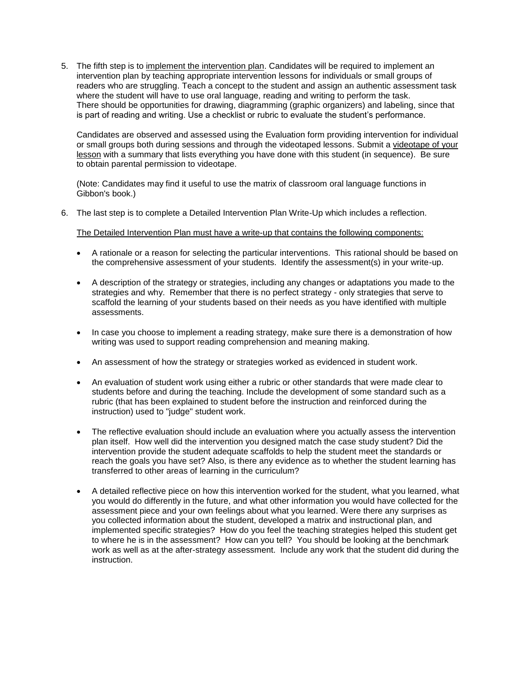5. The fifth step is to implement the intervention plan. Candidates will be required to implement an intervention plan by teaching appropriate intervention lessons for individuals or small groups of readers who are struggling. Teach a concept to the student and assign an authentic assessment task where the student will have to use oral language, reading and writing to perform the task. There should be opportunities for drawing, diagramming (graphic organizers) and labeling, since that is part of reading and writing. Use a checklist or rubric to evaluate the student's performance.

Candidates are observed and assessed using the Evaluation form providing intervention for individual or small groups both during sessions and through the videotaped lessons. Submit a videotape of your lesson with a summary that lists everything you have done with this student (in sequence). Be sure to obtain parental permission to videotape.

(Note: Candidates may find it useful to use the matrix of classroom oral language functions in Gibbon's book.)

6. The last step is to complete a Detailed Intervention Plan Write-Up which includes a reflection.

#### The Detailed Intervention Plan must have a write-up that contains the following components:

- A rationale or a reason for selecting the particular interventions. This rational should be based on the comprehensive assessment of your students. Identify the assessment(s) in your write-up.
- A description of the strategy or strategies, including any changes or adaptations you made to the strategies and why. Remember that there is no perfect strategy - only strategies that serve to scaffold the learning of your students based on their needs as you have identified with multiple assessments.
- In case you choose to implement a reading strategy, make sure there is a demonstration of how writing was used to support reading comprehension and meaning making.
- An assessment of how the strategy or strategies worked as evidenced in student work.
- An evaluation of student work using either a rubric or other standards that were made clear to students before and during the teaching. Include the development of some standard such as a rubric (that has been explained to student before the instruction and reinforced during the instruction) used to "judge" student work.
- The reflective evaluation should include an evaluation where you actually assess the intervention plan itself. How well did the intervention you designed match the case study student? Did the intervention provide the student adequate scaffolds to help the student meet the standards or reach the goals you have set? Also, is there any evidence as to whether the student learning has transferred to other areas of learning in the curriculum?
- A detailed reflective piece on how this intervention worked for the student, what you learned, what you would do differently in the future, and what other information you would have collected for the assessment piece and your own feelings about what you learned. Were there any surprises as you collected information about the student, developed a matrix and instructional plan, and implemented specific strategies? How do you feel the teaching strategies helped this student get to where he is in the assessment? How can you tell? You should be looking at the benchmark work as well as at the after-strategy assessment. Include any work that the student did during the instruction.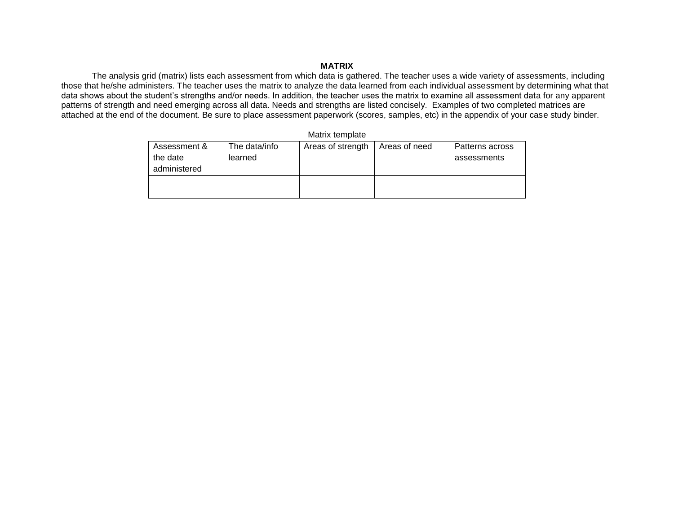# **MATRIX**

The analysis grid (matrix) lists each assessment from which data is gathered. The teacher uses a wide variety of assessments, including those that he/she administers. The teacher uses the matrix to analyze the data learned from each individual assessment by determining what that data shows about the student's strengths and/or needs. In addition, the teacher uses the matrix to examine all assessment data for any apparent patterns of strength and need emerging across all data. Needs and strengths are listed concisely. Examples of two completed matrices are attached at the end of the document. Be sure to place assessment paperwork (scores, samples, etc) in the appendix of your case study binder.

Matrix template

<span id="page-7-0"></span>

| Assessment &<br>the date<br>administered | The data/info<br>learned | Areas of strength | Areas of need | Patterns across<br>assessments |
|------------------------------------------|--------------------------|-------------------|---------------|--------------------------------|
|                                          |                          |                   |               |                                |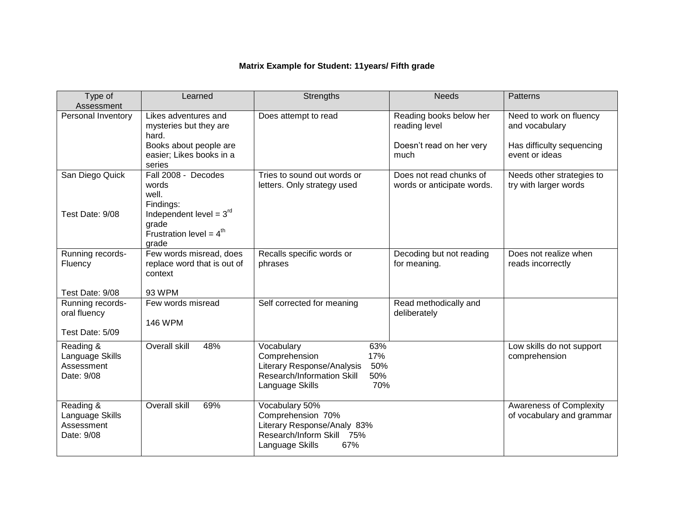# **Matrix Example for Student: 11years/ Fifth grade**

<span id="page-8-0"></span>

| Type of<br>Assessment                                    | Learned                                                                                                       | Strengths                                                                                                                                     | <b>Needs</b>                                                                 | <b>Patterns</b>                                                                          |
|----------------------------------------------------------|---------------------------------------------------------------------------------------------------------------|-----------------------------------------------------------------------------------------------------------------------------------------------|------------------------------------------------------------------------------|------------------------------------------------------------------------------------------|
| Personal Inventory                                       | Likes adventures and<br>mysteries but they are<br>hard.<br>Books about people are<br>easier; Likes books in a | Does attempt to read                                                                                                                          | Reading books below her<br>reading level<br>Doesn't read on her very<br>much | Need to work on fluency<br>and vocabulary<br>Has difficulty sequencing<br>event or ideas |
|                                                          | series                                                                                                        |                                                                                                                                               |                                                                              |                                                                                          |
| San Diego Quick                                          | Fall 2008 - Decodes<br>words<br>well.<br>Findings:                                                            | Tries to sound out words or<br>letters. Only strategy used                                                                                    | Does not read chunks of<br>words or anticipate words.                        | Needs other strategies to<br>try with larger words                                       |
| Test Date: 9/08                                          | Independent level = $3rd$<br>grade<br>Frustration level = $4^{th}$<br>grade                                   |                                                                                                                                               |                                                                              |                                                                                          |
| Running records-<br>Fluency                              | Few words misread, does<br>replace word that is out of<br>context                                             | Recalls specific words or<br>phrases                                                                                                          | Decoding but not reading<br>for meaning.                                     | Does not realize when<br>reads incorrectly                                               |
| Test Date: 9/08                                          | 93 WPM                                                                                                        |                                                                                                                                               |                                                                              |                                                                                          |
| Running records-<br>oral fluency                         | Few words misread<br><b>146 WPM</b>                                                                           | Self corrected for meaning                                                                                                                    | Read methodically and<br>deliberately                                        |                                                                                          |
| Test Date: 5/09                                          |                                                                                                               |                                                                                                                                               |                                                                              |                                                                                          |
| Reading &<br>Language Skills<br>Assessment<br>Date: 9/08 | Overall skill<br>48%                                                                                          | Vocabulary<br>63%<br>Comprehension<br>17%<br>Literary Response/Analysis<br>50%<br>Research/Information Skill<br>50%<br>Language Skills<br>70% |                                                                              | Low skills do not support<br>comprehension                                               |
| Reading &<br>Language Skills<br>Assessment<br>Date: 9/08 | Overall skill<br>69%                                                                                          | Vocabulary 50%<br>Comprehension 70%<br>Literary Response/Analy 83%<br>Research/Inform Skill 75%<br>67%<br>Language Skills                     |                                                                              | <b>Awareness of Complexity</b><br>of vocabulary and grammar                              |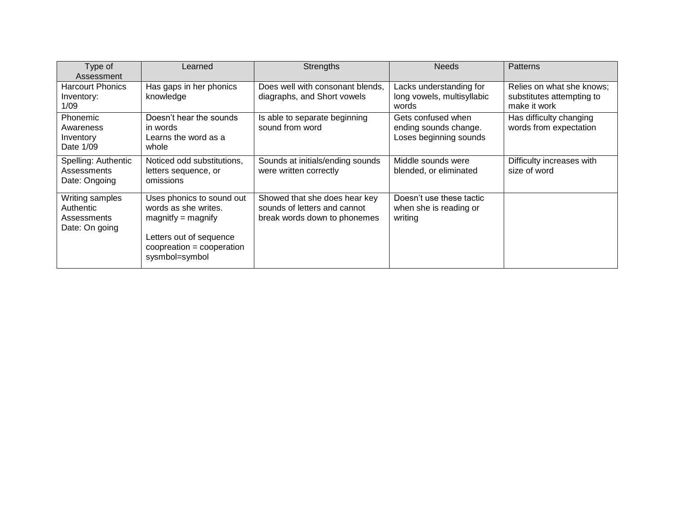| Type of<br>Assessment                                         | Learned                                                                                                                                                | <b>Strengths</b>                                                                              | <b>Needs</b>                                                          | <b>Patterns</b>                                                        |
|---------------------------------------------------------------|--------------------------------------------------------------------------------------------------------------------------------------------------------|-----------------------------------------------------------------------------------------------|-----------------------------------------------------------------------|------------------------------------------------------------------------|
| <b>Harcourt Phonics</b><br>Inventory:<br>1/09                 | Has gaps in her phonics<br>knowledge                                                                                                                   | Does well with consonant blends,<br>diagraphs, and Short vowels                               | Lacks understanding for<br>long vowels, multisyllabic<br>words        | Relies on what she knows;<br>substitutes attempting to<br>make it work |
| Phonemic<br>Awareness<br>Inventory<br>Date 1/09               | Doesn't hear the sounds<br>in words<br>Learns the word as a<br>whole                                                                                   | Is able to separate beginning<br>sound from word                                              | Gets confused when<br>ending sounds change.<br>Loses beginning sounds | Has difficulty changing<br>words from expectation                      |
| Spelling: Authentic<br>Assessments<br>Date: Ongoing           | Noticed odd substitutions,<br>letters sequence, or<br>omissions                                                                                        | Sounds at initials/ending sounds<br>were written correctly                                    | Middle sounds were<br>blended, or eliminated                          | Difficulty increases with<br>size of word                              |
| Writing samples<br>Authentic<br>Assessments<br>Date: On going | Uses phonics to sound out<br>words as she writes.<br>$magnitude = magnify$<br>Letters out of sequence<br>$cooperation = cooperation$<br>sysmbol=symbol | Showed that she does hear key<br>sounds of letters and cannot<br>break words down to phonemes | Doesn't use these tactic<br>when she is reading or<br>writing         |                                                                        |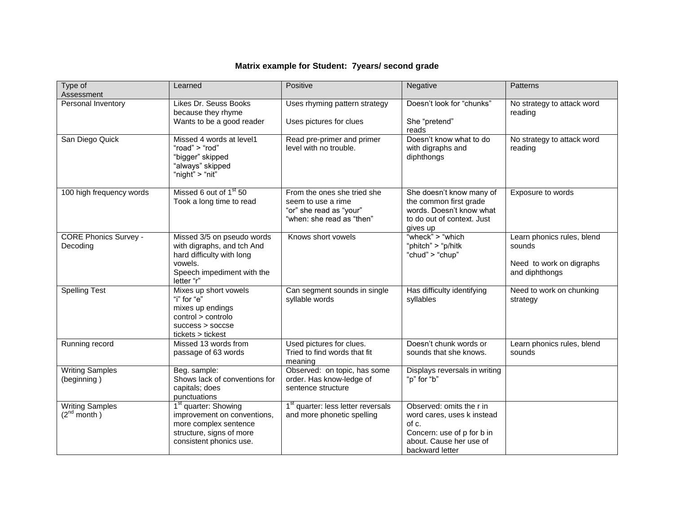# **Matrix example for Student: 7years/ second grade**

<span id="page-10-0"></span>

| Type of<br>Assessment                      | Learned                                                                                                                                         | Positive                                                                                                  | Negative                                                                                                                                    | Patterns                                                                           |
|--------------------------------------------|-------------------------------------------------------------------------------------------------------------------------------------------------|-----------------------------------------------------------------------------------------------------------|---------------------------------------------------------------------------------------------------------------------------------------------|------------------------------------------------------------------------------------|
| Personal Inventory                         | Likes Dr. Seuss Books<br>because they rhyme<br>Wants to be a good reader                                                                        | Uses rhyming pattern strategy<br>Uses pictures for clues                                                  | Doesn't look for "chunks"<br>She "pretend"<br>reads                                                                                         | No strategy to attack word<br>reading                                              |
| San Diego Quick                            | Missed 4 words at level1<br>"road" $>$ "rod"<br>"bigger" skipped<br>"always" skipped<br>"night" > "nit"                                         | Read pre-primer and primer<br>level with no trouble.                                                      | Doesn't know what to do<br>with digraphs and<br>diphthongs                                                                                  | No strategy to attack word<br>reading                                              |
| 100 high frequency words                   | Missed 6 out of 1 <sup>st</sup> 50<br>Took a long time to read                                                                                  | From the ones she tried she<br>seem to use a rime<br>"or" she read as "your"<br>"when: she read as "then" | She doesn't know many of<br>the common first grade<br>words. Doesn't know what<br>to do out of context. Just<br>gives up                    | Exposure to words                                                                  |
| <b>CORE Phonics Survey -</b><br>Decoding   | Missed 3/5 on pseudo words<br>with digraphs, and tch And<br>hard difficulty with long<br>vowels.<br>Speech impediment with the<br>letter "r"    | Knows short vowels                                                                                        | "wheck" > "which"<br>"phitch" > "p/hitk<br>"chud" > "chup"                                                                                  | Learn phonics rules, blend<br>sounds<br>Need to work on digraphs<br>and diphthongs |
| <b>Spelling Test</b>                       | Mixes up short vowels<br>"i" for "e"<br>mixes up endings<br>control > controlo<br>$success >$ soccse<br>tickets > tickest                       | Can segment sounds in single<br>syllable words                                                            | Has difficulty identifying<br>syllables                                                                                                     | Need to work on chunking<br>strategy                                               |
| Running record                             | Missed 13 words from<br>passage of 63 words                                                                                                     | Used pictures for clues.<br>Tried to find words that fit<br>meaning                                       | Doesn't chunk words or<br>sounds that she knows.                                                                                            | Learn phonics rules, blend<br>sounds                                               |
| <b>Writing Samples</b><br>(beginning)      | Beg. sample:<br>Shows lack of conventions for<br>capitals; does<br>punctuations                                                                 | Observed: on topic, has some<br>order. Has know-ledge of<br>sentence structure                            | Displays reversals in writing<br>"p" for "b"                                                                                                |                                                                                    |
| <b>Writing Samples</b><br>$(2^{nd}$ month) | 1 <sup>st</sup> quarter: Showing<br>improvement on conventions,<br>more complex sentence<br>structure, signs of more<br>consistent phonics use. | 1 <sup>st</sup> quarter: less letter reversals<br>and more phonetic spelling                              | Observed: omits the r in<br>word cares, uses k instead<br>of c.<br>Concern: use of p for b in<br>about. Cause her use of<br>backward letter |                                                                                    |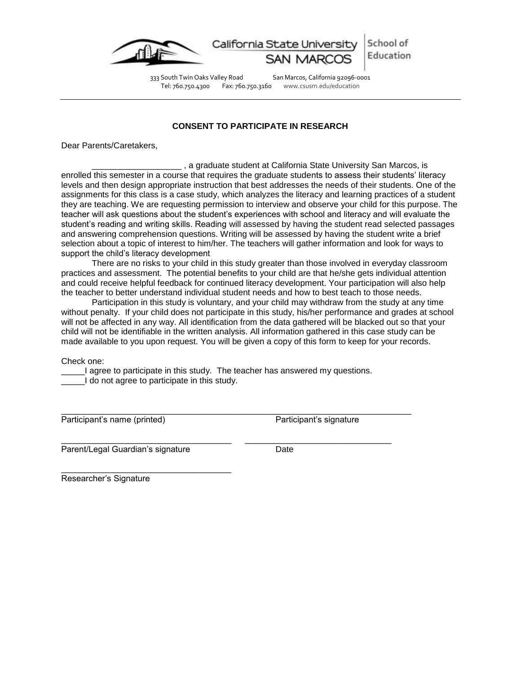

School of California State Universit Education

Tel: 760.750.4300 Fax: 760.750.3160 www.csusm.edu/education

333 South Twin Oaks Valley Road San Marcos, California 92096-0001

# **CONSENT TO PARTICIPATE IN RESEARCH**

<span id="page-11-0"></span>Dear Parents/Caretakers,

\_\_\_\_\_\_\_\_\_\_\_\_\_\_\_\_\_\_\_ , a graduate student at California State University San Marcos, is enrolled this semester in a course that requires the graduate students to assess their students' literacy levels and then design appropriate instruction that best addresses the needs of their students. One of the assignments for this class is a case study, which analyzes the literacy and learning practices of a student they are teaching. We are requesting permission to interview and observe your child for this purpose. The teacher will ask questions about the student's experiences with school and literacy and will evaluate the student's reading and writing skills. Reading will assessed by having the student read selected passages and answering comprehension questions. Writing will be assessed by having the student write a brief selection about a topic of interest to him/her. The teachers will gather information and look for ways to support the child's literacy development

There are no risks to your child in this study greater than those involved in everyday classroom practices and assessment. The potential benefits to your child are that he/she gets individual attention and could receive helpful feedback for continued literacy development. Your participation will also help the teacher to better understand individual student needs and how to best teach to those needs.

Participation in this study is voluntary, and your child may withdraw from the study at any time without penalty. If your child does not participate in this study, his/her performance and grades at school will not be affected in any way. All identification from the data gathered will be blacked out so that your child will not be identifiable in the written analysis. All information gathered in this case study can be made available to you upon request. You will be given a copy of this form to keep for your records.

Check one:

\_\_\_\_\_I agree to participate in this study. The teacher has answered my questions. I do not agree to participate in this study.

\_\_\_\_\_\_\_\_\_\_\_\_\_\_\_\_\_\_\_\_\_\_\_\_\_\_\_\_\_\_\_\_\_\_\_\_\_\_\_\_\_\_\_\_\_\_\_\_\_\_\_\_\_\_\_\_\_\_\_\_\_\_\_\_\_\_\_\_\_\_\_\_\_\_

Participant's name (printed) Participant's signature

\_\_\_\_\_\_\_\_\_\_\_\_\_\_\_\_\_\_\_\_\_\_\_\_\_\_\_\_\_\_\_\_\_\_\_\_ \_\_\_\_\_\_\_\_\_\_\_\_\_\_\_\_\_\_\_\_\_\_\_\_\_\_\_\_\_\_\_ Parent/Legal Guardian's signature **Date** Date

\_\_\_\_\_\_\_\_\_\_\_\_\_\_\_\_\_\_\_\_\_\_\_\_\_\_\_\_\_\_\_\_\_\_\_\_ Researcher's Signature